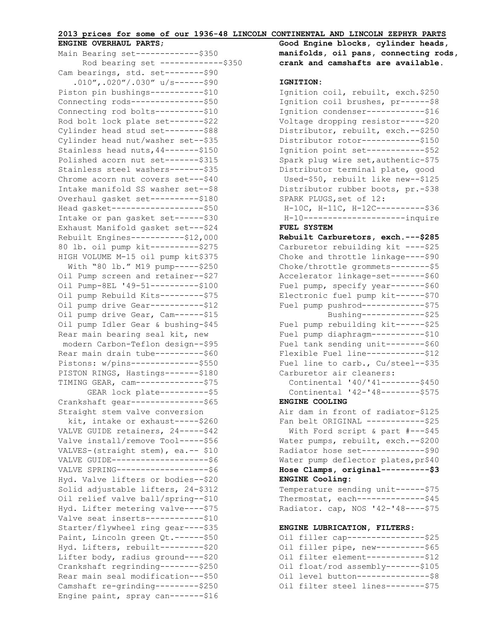## **2013 prices for some of our 1936-48 LINCOLN CONTINENTAL AND LINCOLN ZEPHYR PARTS**

## **ENGINE OVERHAUL PARTS**;

| Main Bearing set--------------\$350   |
|---------------------------------------|
| Rod bearing set -------------\$350    |
| Cam bearings, std. set --------- \$90 |
| $.010'', .020''/.030''$ u/s------\$90 |
| Piston pin bushings-----------\$10    |
| Connecting rods----------------\$50   |
| Connecting rod bolts----------\$10    |
| Rod bolt lock plate set ------- \$22  |
| Cylinder head stud set--------\$88    |
| Cylinder head nut/washer set--\$35    |
| Stainless head nuts, 44 ------- \$150 |
| Polished acorn nut set ------- \$315  |
| Stainless steel washers-------\$35    |
| Chrome acorn nut covers set --- \$40  |
| Intake manifold SS washer set--\$8    |
| Overhaul gasket set ---------- \$180  |
| Head gasket --------------------\$50  |
| Intake or pan gasket set ------ \$30  |
| Exhaust Manifold gasket set --- \$24  |
| Rebuilt Engines-----------\$12,000    |
| 80 lb. oil pump kit ---------- \$275  |
| HIGH VOLUME M-15 oil pump kit\$375    |
| With "80 lb." M19 pump ----- \$250    |
| Oil Pump screen and retainer--\$27    |
| Oil Pump-8EL '49-51----------\$100    |
| Oil pump Rebuild Kits --------- \$75  |
| Oil pump drive Gear-----------\$12    |
| Oil pump drive Gear, Cam------\$15    |
| Oil pump Idler Gear & bushing-\$45    |
| Rear main bearing seal kit, new       |
| modern Carbon-Teflon design--\$95     |
| Rear main drain tube----------\$60    |
| Pistons: w/pins--------------\$550    |
| PISTON RINGS, Hastings ------- \$180  |
| TIMING GEAR, cam --------------- \$75 |
| GEAR lock plate ----------- \$5       |
| Crankshaft gear----------------\$65   |
| Straight stem valve conversion        |
| kit, intake or exhaust-----\$260      |
| VALVE GUIDE retainers, 24 ----- \$42  |
| Valve install/remove Tool-----\$56    |
| VALVES-(straight stem), ea.-- \$10    |
| VALVE GUIDE---------------------\$6   |
| VALVE SPRING--------------------\$6   |
| Hyd. Valve lifters or bodies--\$20    |
| Solid adjustable lifters, 24-\$312    |
| Oil relief valve ball/spring--\$10    |
| Hyd. Lifter metering valve ---- \$75  |
| Valve seat inserts-------------\$10   |
| Starter/flywheel ring gear----\$35    |
| Paint, Lincoln green Qt. ------\$50   |
| Hyd. Lifters, rebuilt --------- \$20  |
| Lifter body, radius ground ---- \$20  |
| Crankshaft regrinding--------\$250    |
| Rear main seal modification---\$50    |
| Camshaft re-grinding---------\$250    |
| Engine paint, spray can-------\$16    |

**Good Engine blocks, cylinder heads, manifolds, oil pans, connecting rods, crank and camshafts are available.**

#### **IGNITION:**

Ignition coil, rebuilt, exch.\$250 Ignition coil brushes, pr------\$8 Ignition condenser-------------\$16 Voltage dropping resistor-----\$20 Distributor, rebuilt, exch.--\$250 Distributor rotor------------\$150 Ignition point set------------\$52 Spark plug wire set,authentic-\$75 Distributor terminal plate, good Used-\$50, rebuilt like new--\$125 Distributor rubber boots, pr.-\$38 SPARK PLUGS, set of 12: H-10C, H-11C, H-12C----------\$36 H-10---------------------inquire **FUEL SYSTEM Rebuilt Carburetors, exch.---\$285** Carburetor rebuilding kit ----\$25 Choke and throttle linkage----\$90 Choke/throttle grommets--------\$5 Accelerator linkage-set-------\$60 Fuel pump, specify year-------\$60 Electronic fuel pump kit------\$70 Fuel pump pushrod-------------\$75 Bushing-------------\$25 Fuel pump rebuilding kit------\$25 Fuel pump diaphragm-----------\$10 Fuel tank sending unit--------\$60 Flexible Fuel line-------------\$12 Fuel line to carb., Cu/steel--\$35 Carburetor air cleaners: Continental '40/'41--------\$450 Continental '42-'48--------\$575 **ENGINE COOLING** Air dam in front of radiator-\$125 Fan belt ORIGINAL ------------\$25 With Ford script & part #---\$45 Water pumps, rebuilt, exch. -- \$200 Radiator hose set -------------- \$90 Water pump deflector plates, pr\$40 **Hose Clamps, original----------\$3 ENGINE Cooling:**  Temperature sending unit------\$75 Thermostat, each--------------\$45 Radiator. cap, NOS '42-'48----\$75 **ENGINE LUBRICATION, FILTERS**: Oil filler cap----------------\$25

```
Oil filler pipe, new-----------$65
Oil filter element------------$12
Oil float/rod assembly-------$105
Oil level button----------------$8
Oil filter steel lines--------$75
```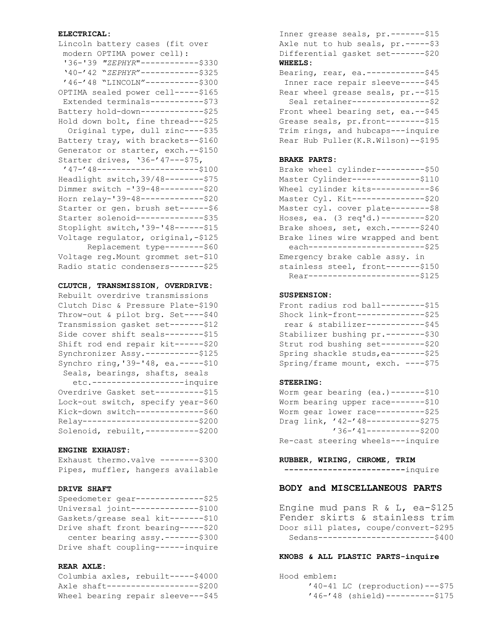#### **ELECTRICAL:**

| Lincoln battery cases (fit over      |
|--------------------------------------|
| modern OPTIMA power cell):           |
| '36-'39 "ZEPHYR"-----------\$330     |
| '40-'42 "ZEPHYR" ------------\$325   |
| '46-'48 "LINCOLN"-----------\$300    |
| OPTIMA sealed power cell-----\$165   |
| Extended terminals -----------\$73   |
| Battery hold-down-------------\$25   |
| Hold down bolt, fine thread---\$25   |
| Original type, dull zinc----\$35     |
| Battery tray, with brackets--\$160   |
| Generator or starter, exch. -- \$150 |
| Starter drives, '36-'47---\$75,      |
| '47-'48----------------------\$100   |
| Headlight switch, 39/48--------\$75  |
| Dimmer switch -'39-48---------\$20   |
| Horn relay-'39-48-------------\$20   |
| Starter or gen. brush set ------ \$6 |
| Starter solenoid---------------\$35  |
| Stoplight switch, '39-'48------\$15  |
| Voltage regulator, original,-\$125   |
| Replacement type -------- \$60       |
| Voltage reg. Mount grommet set-\$10  |
| Radio static condensers-------\$25   |

#### **CLUTCH, TRANSMISSION, OVERDRIVE:**

Rebuilt overdrive transmissions Clutch Disc & Pressure Plate-\$190 Throw-out & pilot brg. Set----\$40 Transmission gasket set-------\$12 Side cover shift seals--------\$15 Shift rod end repair kit------\$20 Synchronizer Assy.-----------\$125 Synchro ring,'39-'48, ea.-----\$10 Seals, bearings, shafts, seals

 etc.-------------------inquire Overdrive Gasket set ----------\$15 Lock-out switch, specify year-\$60 Kick-down switch---------------\$60 Relay------------------------\$200 Solenoid, rebuilt,-----------\$200

## **ENGINE EXHAUST**:

Exhaust thermo.valve --------\$300 Pipes, muffler, hangers available

## **DRIVE SHAFT**

| Speedometer gear--------------\$25 |
|------------------------------------|
| Universal joint--------------\$100 |
| Gaskets/grease seal kit-------\$10 |
| Drive shaft front bearing-----\$20 |
| center bearing assy.-------\$300   |
| Drive shaft coupling------inquire  |

### **REAR AXLE:**

Columbia axles, rebuilt-----\$4000 Axle shaft-------------------\$200 Wheel bearing repair sleeve---\$45

Inner grease seals, pr. -------\$15 Axle nut to hub seals, pr. ----- \$3 Differential gasket set-------\$20 **WHEELS:**

Bearing, rear, ea.--------------\$45 Inner race repair sleeve-----\$45 Rear wheel grease seals, pr.--\$15 Seal retainer----------------\$2 Front wheel bearing set, ea. -- \$45 Grease seals, pr.front--------\$15 Trim rings, and hubcaps---inquire Rear Hub Puller(K.R.Wilson)--\$195

## **BRAKE PARTS:**

Brake wheel cylinder----------\$50 Master Cylinder--------------\$110 Wheel cylinder kits------------\$6 Master Cyl. Kit ---------------- \$20 Master cyl. cover plate --------- \$8 Hoses, ea. (3 req'd.)---------\$20 Brake shoes, set, exch.------\$240 Brake lines wire wrapped and bent each---------------------------\$25 Emergency brake cable assy. in stainless steel, front-------\$150 Rear-------------------------\$125

#### **SUSPENSION:**

Front radius rod ball---------\$15 Shock link-front--------------\$25 rear & stabilizer------------\$45 Stabilizer bushing pr.--------\$30 Strut rod bushing set---------\$20 Spring shackle studs, ea-------\$25 Spring/frame mount, exch. ----\$75

## **STEERING:**

Worm gear bearing (ea.)-------\$10 Worm bearing upper race-------\$10 Worm gear lower race----------\$25 Drag link, '42-'48-----------\$275 '36-'41-----------\$200 Re-cast steering wheels---inquire

**RUBBER, WIRING, CHROME, TRIM**

**-------------------------**inquire

## **BODY and MISCELLANEOUS PARTS**

Engine mud pans R & L, ea-\$125 Fender skirts & stainless trim Door sill plates, coupe/convert-\$295 Sedans------------------------\$400

#### **KNOBS & ALL PLASTIC PARTS-inquire**

Hood emblem: '40-41 LC (reproduction)---\$75 '46-'48 (shield)----------\$175